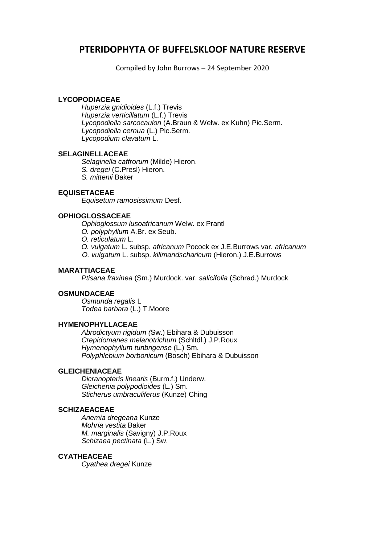# **PTERIDOPHYTA OF BUFFELSKLOOF NATURE RESERVE**

Compiled by John Burrows – 24 September 2020

## **LYCOPODIACEAE**

*Huperzia gnidioides* (L.f.) Trevis *Huperzia verticillatum* (L.f.) Trevis *Lycopodiella sarcocaulon* (A.Braun & Welw. ex Kuhn) Pic.Serm. *Lycopodiella cernua* (L.) Pic.Serm. *Lycopodium clavatum* L.

## **SELAGINELLACEAE**

*Selaginella caffrorum* (Milde) Hieron.

- *S. dregei* (C.Presl) Hieron.
- *S. mittenii* Baker

# **EQUISETACEAE**

*Equisetum ramosissimum* Desf.

## **OPHIOGLOSSACEAE**

*Ophioglossum lusoafricanum* Welw. ex Prantl

- *O. polyphyllum* A.Br. ex Seub.
- *O. reticulatum* L.
- *O. vulgatum* L. subsp. *africanum* Pocock ex J.E.Burrows var. *africanum*
- *O. vulgatum* L. subsp. *kilimandscharicum* (Hieron.) J.E.Burrows

## **MARATTIACEAE**

*Ptisana fraxinea* (Sm.) Murdock. var. *salicifolia* (Schrad.) Murdock

## **OSMUNDACEAE**

 *Osmunda regalis* L *Todea barbara* (L.) T.Moore

# **HYMENOPHYLLACEAE**

 *Abrodictyum rigidum (*Sw.) Ebihara & Dubuisson *Crepidomanes melanotrichum* (Schltdl.) J.P.Roux *Hymenophyllum tunbrigense* (L.) Sm. *Polyphlebium borbonicum* (Bosch) Ebihara & Dubuisson

# **GLEICHENIACEAE**

 *Dicranopteris linearis* (Burm.f.) Underw. *Gleichenia polypodioides* (L.) Sm. *Sticherus umbraculiferus* (Kunze) Ching

# **SCHIZAEACEAE**

 *Anemia dregeana* Kunze *Mohria vestita* Baker *M. marginalis* (Savigny) J.P.Roux *Schizaea pectinata* (L.) Sw.

# **CYATHEACEAE**

*Cyathea dregei* Kunze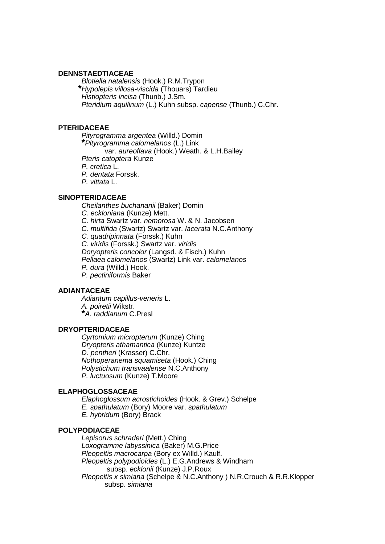#### **DENNSTAEDTIACEAE**

*Blotiella natalensis* (Hook.) R.M.Trypon **\****Hypolepis villosa-viscida* (Thouars) Tardieu *Histiopteris incisa* (Thunb.) J.Sm. *Pteridium aquilinum* (L.) Kuhn subsp. *capense* (Thunb.) C.Chr.

### **PTERIDACEAE**

*Pityrogramma argentea* (Willd.) Domin **\****Pityrogramma calomelanos* (L.) Link var. *aureoflava* (Hook.) Weath. & L.H.Bailey *Pteris catoptera* Kunze *P. cretica* L. *P. dentata* Forssk. *P. vittata* L.

#### **SINOPTERIDACEAE**

*Cheilanthes buchananii* (Baker) Domin *C. eckloniana* (Kunze) Mett. *C. hirta* Swartz var. *nemorosa* W. & N. Jacobsen *C. multifida* (Swartz) Swartz var. *lacerata* N.C.Anthony *C. quadripinnata* (Forssk.) Kuhn *C. viridis* (Forssk.) Swartz var. *viridis Doryopteris concolor* (Langsd. & Fisch.) Kuhn *Pellaea calomelanos* (Swartz) Link var. *calomelanos P. dura* (Willd.) Hook. *P. pectiniformis* Baker

## **ADIANTACEAE**

 *Adiantum capillus-veneris* L. *A. poiretii* Wikstr. **\****A. raddianum* C.Presl

## **DRYOPTERIDACEAE**

 *Cyrtomium micropterum* (Kunze) Ching *Dryopteris athamantica* (Kunze) Kuntze *D. pentheri* (Krasser) C.Chr. *Nothoperanema squamiseta* (Hook.) Ching *Polystichum transvaalense* N.C.Anthony *P. luctuosum* (Kunze) T.Moore

#### **ELAPHOGLOSSACEAE**

 *Elaphoglossum acrostichoides* (Hook. & Grev.) Schelpe *E. spathulatum* (Bory) Moore var. *spathulatum E. hybridum* (Bory) Brack

#### **POLYPODIACEAE**

 *Lepisorus schraderi* (Mett.) Ching *Loxogramme labyssinica* (Baker) M.G.Price *Pleopeltis macrocarpa* (Bory ex Willd.) Kaulf. *Pleopeltis polypodioides* (L.) E.G.Andrews & Windham subsp. *ecklonii* (Kunze) J.P.Roux *Pleopeltis x simiana* (Schelpe & N.C.Anthony ) N.R.Crouch & R.R.Klopper subsp. *simiana*